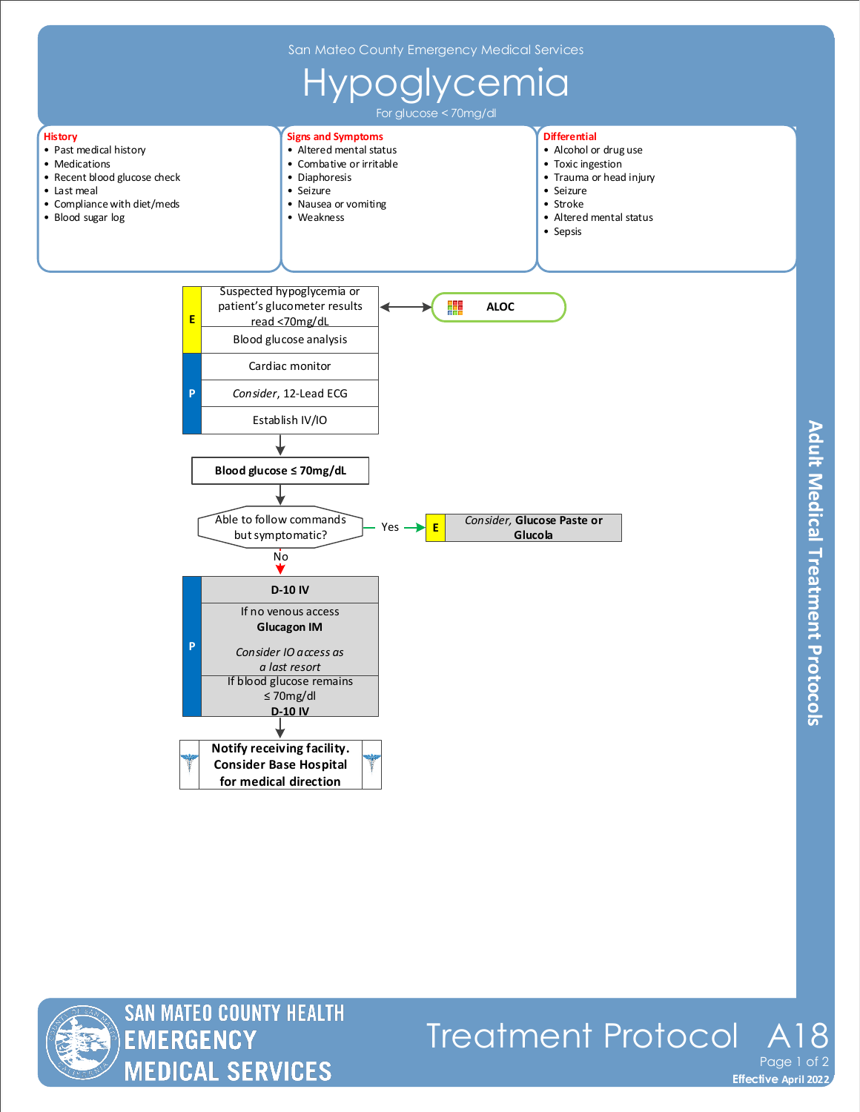

**Adult Medical Treatment Protocols** 



**MEDICAL SERVICES** 

**Effective November 2018 Effective April 2022** Treatment Protocol Page 1